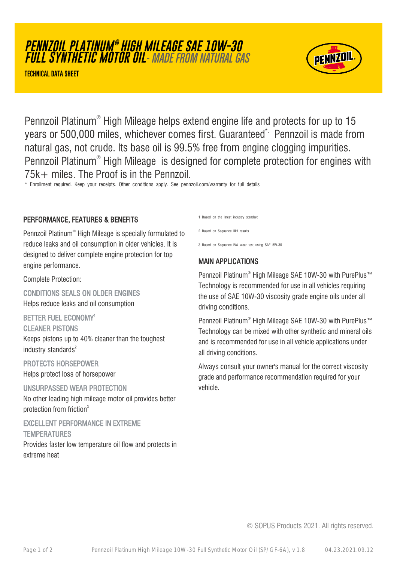# **PENNZOIL PLATINUM ® HIGH MILEAGE SAE 10W-30 FULL SYNTHETIC MOTOR OIL**- MADE FROM NATURAL GAS

**TECHNICAL DATA SHEET**



Pennzoil Platinum® High Mileage helps extend engine life and protects for up to 15 years or 500,000 miles, whichever comes first. Guaranteed\* Pennzoil is made from natural gas, not crude. Its base oil is 99.5% free from engine clogging impurities. Pennzoil Platinum® High Mileage is designed for complete protection for engines with 75k+ miles. The Proof is in the Pennzoil.

\* Enrollment required. Keep your receipts. Other conditions apply. See pennzoil.com/warranty for full details

#### PERFORMANCE, FEATURES & BENEFITS

Pennzoil Platinum® High Mileage is specially formulated to reduce leaks and oil consumption in older vehicles. It is designed to deliver complete engine protection for top engine performance.

Complete Protection:

CONDITIONS SEALS ON OLDER ENGINES Helps reduce leaks and oil consumption

BETTER FUEL ECONOMY<sup>1</sup>

CLEANER PISTONS

Keeps pistons up to 40% cleaner than the toughest industry standards $2$ 

PROTECTS HORSEPOWER Helps protect loss of horsepower

UNSURPASSED WEAR PROTECTION No other leading high mileage motor oil provides better protection from friction<sup>3</sup>

EXCELLENT PERFORMANCE IN EXTREME **TEMPERATURES** 

Provides faster low temperature oil flow and protects in extreme heat

1 Based on the latest industry standard

2 Based on Sequence IIIH results

3 Based on Sequence IVA wear test using SAE 5W-30

### MAIN APPLICATIONS

Pennzoil Platinum® High Mileage SAE 10W-30 with PurePlus™ Technology is recommended for use in all vehicles requiring the use of SAE 10W-30 viscosity grade engine oils under all driving conditions.

Pennzoil Platinum® High Mileage SAE 10W-30 with PurePlus™ Technology can be mixed with other synthetic and mineral oils and is recommended for use in all vehicle applications under all driving conditions.

Always consult your owner's manual for the correct viscosity grade and performance recommendation required for your vehicle.

© SOPUS Products 2021. All rights reserved.